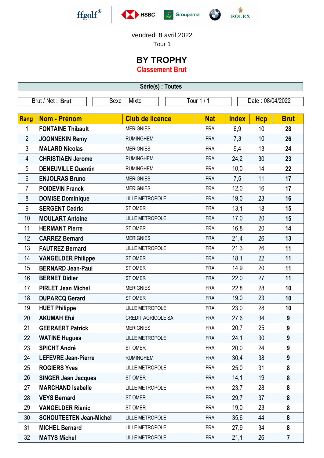







vendredi 8 avril 2022

Tour 1

## **BY TROPHY**

**Classement Brut**

| Série(s) : Toutes |                                |                           |            |                  |            |                  |  |  |
|-------------------|--------------------------------|---------------------------|------------|------------------|------------|------------------|--|--|
| Brut / Net: Brut  |                                | Sexe: Mixte               | Tour 1 / 1 | Date: 08/04/2022 |            |                  |  |  |
| Rang              | <b>Nom - Prénom</b>            | <b>Club de licence</b>    | <b>Nat</b> | <b>Index</b>     | <b>Hcp</b> | <b>Brut</b>      |  |  |
| 1                 | <b>FONTAINE Thibault</b>       | <b>MERIGNIES</b>          | <b>FRA</b> | 6,9              | 10         | 28               |  |  |
| $\overline{2}$    | <b>JOONNEKIN Remy</b>          | <b>RUMINGHEM</b>          | <b>FRA</b> | 7,3              | 10         | 26               |  |  |
| 3                 | <b>MALARD Nicolas</b>          | <b>MERIGNIES</b>          | <b>FRA</b> | 9,4              | 13         | 24               |  |  |
| 4                 | <b>CHRISTIAEN Jerome</b>       | <b>RUMINGHEM</b>          | <b>FRA</b> | 24,2             | 30         | 23               |  |  |
| 5                 | <b>DENEUVILLE Quentin</b>      | <b>RUMINGHEM</b>          | <b>FRA</b> | 10,0             | 14         | 22               |  |  |
| 6                 | <b>ENJOLRAS Bruno</b>          | <b>MERIGNIES</b>          | <b>FRA</b> | 7,5              | 11         | 17               |  |  |
| $\overline{7}$    | <b>POIDEVIN Franck</b>         | <b>MERIGNIES</b>          | <b>FRA</b> | 12,0             | 16         | 17               |  |  |
| 8                 | <b>DOMISE Dominique</b>        | <b>LILLE METROPOLE</b>    | <b>FRA</b> | 19,0             | 23         | 16               |  |  |
| 9                 | <b>SERGENT Cedric</b>          | ST OMER                   | <b>FRA</b> | 13,1             | 18         | 15               |  |  |
| 10                | <b>MOULART Antoine</b>         | <b>LILLE METROPOLE</b>    | <b>FRA</b> | 17,0             | 20         | 15               |  |  |
| 11                | <b>HERMANT Pierre</b>          | ST OMER                   | <b>FRA</b> | 16,8             | 20         | 14               |  |  |
| 12                | <b>CARREZ Bernard</b>          | <b>MERIGNIES</b>          | <b>FRA</b> | 21,4             | 26         | 13               |  |  |
| 13                | <b>FAUTREZ Bernard</b>         | <b>LILLE METROPOLE</b>    | <b>FRA</b> | 21,3             | 26         | 11               |  |  |
| 14                | <b>VANGELDER Philippe</b>      | <b>ST OMER</b>            | <b>FRA</b> | 18,1             | 22         | 11               |  |  |
| 15                | <b>BERNARD Jean-Paul</b>       | ST OMER                   | <b>FRA</b> | 14,9             | 20         | 11               |  |  |
| 16                | <b>BERNET Didier</b>           | ST OMER                   | <b>FRA</b> | 22,0             | 27         | 11               |  |  |
| 17                | <b>PIRLET Jean Michel</b>      | <b>MERIGNIES</b>          | <b>FRA</b> | 22,8             | 28         | 10               |  |  |
| 18                | <b>DUPARCQ Gerard</b>          | <b>STOMER</b>             | <b>FRA</b> | 19,0             | 23         | 10               |  |  |
| 19                | <b>HUET Philippe</b>           | <b>LILLE METROPOLE</b>    | <b>FRA</b> | 23,0             | 28         | 10               |  |  |
| 20                | <b>AKUMAH Efui</b>             | <b>CREDIT AGRICOLE SA</b> | <b>FRA</b> | 27,6             | 34         | 9                |  |  |
| 21                | <b>GEERAERT Patrick</b>        | <b>MERIGNIES</b>          | <b>FRA</b> | 20,7             | 25         | $\boldsymbol{9}$ |  |  |
| 22                | <b>WATINE Hugues</b>           | <b>LILLE METROPOLE</b>    | <b>FRA</b> | 24,1             | 30         | 9                |  |  |
| 23                | <b>SPICHT André</b>            | ST OMER                   | <b>FRA</b> | 20,0             | 24         | 9                |  |  |
| 24                | <b>LEFEVRE Jean-Pierre</b>     | <b>RUMINGHEM</b>          | <b>FRA</b> | 30,4             | 38         | 9                |  |  |
| 25                | <b>ROGIERS Yves</b>            | <b>LILLE METROPOLE</b>    | <b>FRA</b> | 25,0             | 31         | 8                |  |  |
| 26                | <b>SINGER Jean Jacques</b>     | ST OMER                   | <b>FRA</b> | 14,1             | 19         | $\boldsymbol{8}$ |  |  |
| 27                | <b>MARCHAND Isabelle</b>       | <b>LILLE METROPOLE</b>    | <b>FRA</b> | 23,7             | 28         | 8                |  |  |
| 28                | <b>VEYS Bernard</b>            | ST OMER                   | <b>FRA</b> | 29,7             | 37         | 8                |  |  |
| 29                | <b>VANGELDER Rianic</b>        | ST OMER                   | <b>FRA</b> | 19,0             | 23         | 8                |  |  |
| 30                | <b>SCHOUTEETEN Jean-Michel</b> | <b>LILLE METROPOLE</b>    | <b>FRA</b> | 35,6             | 44         | 8                |  |  |
| 31                | <b>MICHEL Bernard</b>          | <b>LILLE METROPOLE</b>    | <b>FRA</b> | 27,9             | 34         | 8                |  |  |
| 32                | <b>MATYS Michel</b>            | <b>LILLE METROPOLE</b>    | <b>FRA</b> | 21,1             | 26         | $\overline{7}$   |  |  |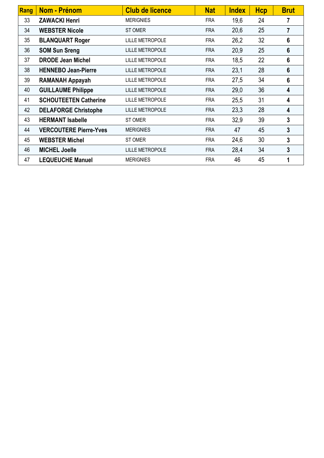| Rang | <b>Nom - Prénom</b>           | <b>Club de licence</b> | <b>Nat</b> | <b>Index</b> | <b>Hcp</b> | <b>Brut</b>    |
|------|-------------------------------|------------------------|------------|--------------|------------|----------------|
| 33   | <b>ZAWACKI Henri</b>          | <b>MERIGNIES</b>       | <b>FRA</b> | 19,6         | 24         |                |
| 34   | <b>WEBSTER Nicole</b>         | <b>STOMER</b>          | <b>FRA</b> | 20,6         | 25         | $\overline{7}$ |
| 35   | <b>BLANQUART Roger</b>        | <b>LILLE METROPOLE</b> | <b>FRA</b> | 26,2         | 32         | 6              |
| 36   | <b>SOM Sun Sreng</b>          | <b>LILLE METROPOLE</b> | <b>FRA</b> | 20,9         | 25         | 6              |
| 37   | <b>DRODE Jean Michel</b>      | <b>LILLE METROPOLE</b> | <b>FRA</b> | 18,5         | 22         | 6              |
| 38   | <b>HENNEBO Jean-Pierre</b>    | <b>LILLE METROPOLE</b> | <b>FRA</b> | 23,1         | 28         | 6              |
| 39   | <b>RAMANAH Appayah</b>        | <b>LILLE METROPOLE</b> | <b>FRA</b> | 27,5         | 34         | 6              |
| 40   | <b>GUILLAUME Philippe</b>     | <b>LILLE METROPOLE</b> | <b>FRA</b> | 29,0         | 36         | 4              |
| 41   | <b>SCHOUTEETEN Catherine</b>  | <b>LILLE METROPOLE</b> | <b>FRA</b> | 25,5         | 31         | 4              |
| 42   | <b>DELAFORGE Christophe</b>   | <b>LILLE METROPOLE</b> | <b>FRA</b> | 23,3         | 28         | 4              |
| 43   | <b>HERMANT Isabelle</b>       | <b>STOMER</b>          | <b>FRA</b> | 32,9         | 39         | 3              |
| 44   | <b>VERCOUTERE Pierre-Yves</b> | <b>MERIGNIES</b>       | <b>FRA</b> | 47           | 45         | 3              |
| 45   | <b>WEBSTER Michel</b>         | ST OMER                | <b>FRA</b> | 24,6         | 30         | 3              |
| 46   | <b>MICHEL Joelle</b>          | <b>LILLE METROPOLE</b> | <b>FRA</b> | 28,4         | 34         | 3              |
| 47   | <b>LEQUEUCHE Manuel</b>       | <b>MERIGNIES</b>       | <b>FRA</b> | 46           | 45         | 1              |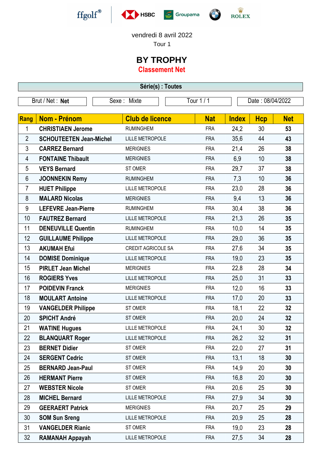







## vendredi 8 avril 2022

Tour 1

## **BY TROPHY**

**Classement Net**

| Série(s) : Toutes |                                |             |                           |            |                  |              |                 |            |
|-------------------|--------------------------------|-------------|---------------------------|------------|------------------|--------------|-----------------|------------|
| Brut / Net: Net   |                                | Sexe: Mixte |                           | Tour 1 / 1 | Date: 08/04/2022 |              |                 |            |
|                   |                                |             |                           |            |                  |              |                 |            |
| Rang              | Nom - Prénom                   |             | <b>Club de licence</b>    |            | <b>Nat</b>       | <b>Index</b> | <b>Hcp</b>      | <b>Net</b> |
| 1                 | <b>CHRISTIAEN Jerome</b>       |             | <b>RUMINGHEM</b>          |            | <b>FRA</b>       | 24,2         | 30              | 53         |
| $\overline{2}$    | <b>SCHOUTEETEN Jean-Michel</b> |             | <b>LILLE METROPOLE</b>    |            | <b>FRA</b>       | 35,6         | 44              | 43         |
| 3                 | <b>CARREZ Bernard</b>          |             | <b>MERIGNIES</b>          |            | <b>FRA</b>       | 21,4         | 26              | 38         |
| 4                 | <b>FONTAINE Thibault</b>       |             | <b>MERIGNIES</b>          |            | <b>FRA</b>       | 6,9          | 10              | 38         |
| 5                 | <b>VEYS Bernard</b>            |             | ST OMER                   |            | <b>FRA</b>       | 29,7         | 37              | 38         |
| 6                 | <b>JOONNEKIN Remy</b>          |             | <b>RUMINGHEM</b>          |            | <b>FRA</b>       | 7,3          | 10              | 36         |
| 7                 | <b>HUET Philippe</b>           |             | <b>LILLE METROPOLE</b>    |            | <b>FRA</b>       | 23,0         | 28              | 36         |
| 8                 | <b>MALARD Nicolas</b>          |             | <b>MERIGNIES</b>          |            | <b>FRA</b>       | 9,4          | 13              | 36         |
| 9                 | <b>LEFEVRE Jean-Pierre</b>     |             | <b>RUMINGHEM</b>          |            | <b>FRA</b>       | 30,4         | 38              | 36         |
| 10                | <b>FAUTREZ Bernard</b>         |             | <b>LILLE METROPOLE</b>    |            | <b>FRA</b>       | 21,3         | 26              | 35         |
| 11                | <b>DENEUVILLE Quentin</b>      |             | <b>RUMINGHEM</b>          |            | <b>FRA</b>       | 10,0         | 14              | 35         |
| 12                | <b>GUILLAUME Philippe</b>      |             | <b>LILLE METROPOLE</b>    |            | <b>FRA</b>       | 29,0         | 36              | 35         |
| 13                | <b>AKUMAH Efui</b>             |             | <b>CREDIT AGRICOLE SA</b> |            | <b>FRA</b>       | 27,6         | 34              | 35         |
| 14                | <b>DOMISE Dominique</b>        |             | <b>LILLE METROPOLE</b>    |            | <b>FRA</b>       | 19,0         | 23              | 35         |
| 15                | <b>PIRLET Jean Michel</b>      |             | <b>MERIGNIES</b>          |            | <b>FRA</b>       | 22,8         | 28              | 34         |
| 16                | <b>ROGIERS Yves</b>            |             | <b>LILLE METROPOLE</b>    |            | <b>FRA</b>       | 25,0         | 31              | 33         |
| 17                | <b>POIDEVIN Franck</b>         |             | <b>MERIGNIES</b>          |            | <b>FRA</b>       | 12,0         | 16              | 33         |
| 18                | <b>MOULART Antoine</b>         |             | <b>LILLE METROPOLE</b>    |            | <b>FRA</b>       | 17,0         | 20              | 33         |
| 19                | <b>VANGELDER Philippe</b>      |             | <b>STOMER</b>             |            | <b>FRA</b>       | 18,1         | 22              | 32         |
| 20                | <b>SPICHT André</b>            |             | <b>STOMER</b>             |            | <b>FRA</b>       | 20,0         | 24              | 32         |
| 21                | <b>WATINE Hugues</b>           |             | <b>LILLE METROPOLE</b>    |            | <b>FRA</b>       | 24,1         | 30 <sub>2</sub> | 32         |
| 22                | <b>BLANQUART Roger</b>         |             | <b>LILLE METROPOLE</b>    |            | <b>FRA</b>       | 26,2         | 32              | 31         |
| 23                | <b>BERNET Didier</b>           |             | ST OMER                   |            | <b>FRA</b>       | 22,0         | 27              | 31         |
| 24                | <b>SERGENT Cedric</b>          |             | ST OMER                   |            | <b>FRA</b>       | 13,1         | 18              | 30         |
| 25                | <b>BERNARD Jean-Paul</b>       |             | ST OMER                   |            | <b>FRA</b>       | 14,9         | 20              | 30         |
| 26                | <b>HERMANT Pierre</b>          |             | ST OMER                   |            | <b>FRA</b>       | 16,8         | 20              | 30         |
| 27                | <b>WEBSTER Nicole</b>          |             | ST OMER                   |            | <b>FRA</b>       | 20,6         | 25              | 30         |
| 28                | <b>MICHEL Bernard</b>          |             | <b>LILLE METROPOLE</b>    |            | <b>FRA</b>       | 27,9         | 34              | 30         |
| 29                | <b>GEERAERT Patrick</b>        |             | <b>MERIGNIES</b>          |            | <b>FRA</b>       | 20,7         | 25              | 29         |
| 30                | <b>SOM Sun Sreng</b>           |             | <b>LILLE METROPOLE</b>    |            | <b>FRA</b>       | 20,9         | 25              | 28         |
| 31                | <b>VANGELDER Rianic</b>        |             | ST OMER                   |            | <b>FRA</b>       | 19,0         | 23              | 28         |
| 32                | <b>RAMANAH Appayah</b>         |             | <b>LILLE METROPOLE</b>    |            | <b>FRA</b>       | 27,5         | 34              | 28         |